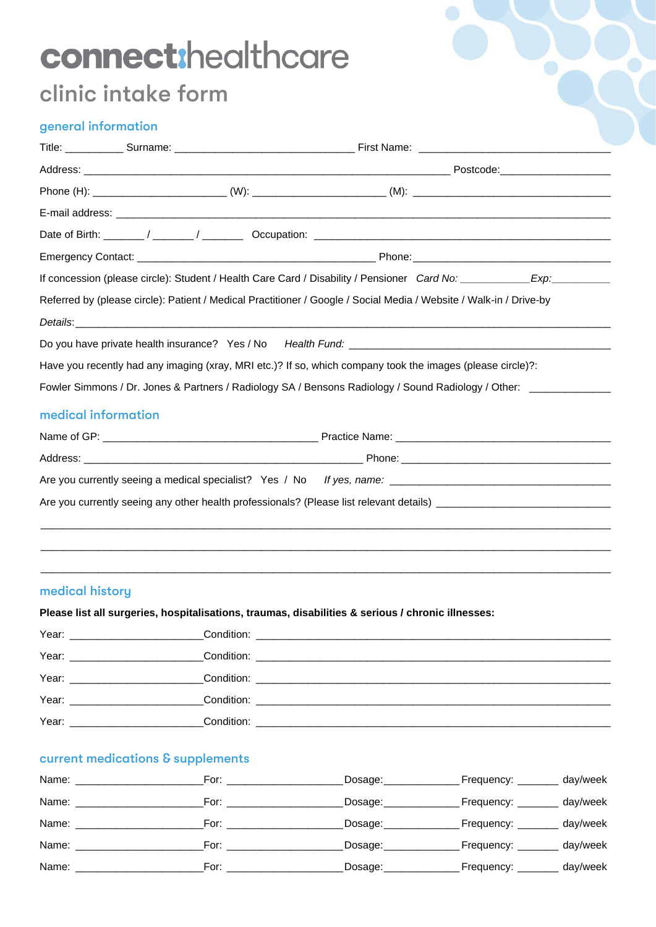# connect:healthcare

# clinic intake form

# general information

|                                                                                                     | Phone (H): _______________________________(W): _________________________(M): _________________________________        |  |  |  |  |  |  |
|-----------------------------------------------------------------------------------------------------|-----------------------------------------------------------------------------------------------------------------------|--|--|--|--|--|--|
|                                                                                                     |                                                                                                                       |  |  |  |  |  |  |
|                                                                                                     |                                                                                                                       |  |  |  |  |  |  |
|                                                                                                     |                                                                                                                       |  |  |  |  |  |  |
|                                                                                                     | If concession (please circle): Student / Health Care Card / Disability / Pensioner Card No: ___________Exp: _________ |  |  |  |  |  |  |
|                                                                                                     | Referred by (please circle): Patient / Medical Practitioner / Google / Social Media / Website / Walk-in / Drive-by    |  |  |  |  |  |  |
|                                                                                                     |                                                                                                                       |  |  |  |  |  |  |
|                                                                                                     |                                                                                                                       |  |  |  |  |  |  |
|                                                                                                     | Have you recently had any imaging (xray, MRI etc.)? If so, which company took the images (please circle)?:            |  |  |  |  |  |  |
| Fowler Simmons / Dr. Jones & Partners / Radiology SA / Bensons Radiology / Sound Radiology / Other: |                                                                                                                       |  |  |  |  |  |  |
| medical information                                                                                 |                                                                                                                       |  |  |  |  |  |  |
|                                                                                                     |                                                                                                                       |  |  |  |  |  |  |
|                                                                                                     |                                                                                                                       |  |  |  |  |  |  |
|                                                                                                     |                                                                                                                       |  |  |  |  |  |  |
|                                                                                                     |                                                                                                                       |  |  |  |  |  |  |
|                                                                                                     | ,我们也不会有什么。""我们的人,我们也不会有什么?""我们的人,我们也不会有什么?""我们的人,我们也不会有什么?""我们的人,我们也不会有什么?""我们的人                                      |  |  |  |  |  |  |
|                                                                                                     |                                                                                                                       |  |  |  |  |  |  |

# medical history

### **Please list all surgeries, hospitalisations, traumas, disabilities & serious / chronic illnesses:**

| Year: New York Structure and Structure and Structure and Structure and Structure and Structure and Structure and Structure and Structure and Structure and Structure and Structure and Structure and Structure and Structure a |  |
|--------------------------------------------------------------------------------------------------------------------------------------------------------------------------------------------------------------------------------|--|

\_\_\_\_\_\_\_\_\_\_\_\_\_\_\_\_\_\_\_\_\_\_\_\_\_\_\_\_\_\_\_\_\_\_\_\_\_\_\_\_\_\_\_\_\_\_\_\_\_\_\_\_\_\_\_\_\_\_\_\_\_\_\_\_\_\_\_\_\_\_\_\_\_\_\_\_\_\_\_\_\_\_\_\_\_\_\_\_\_\_\_\_\_\_\_\_\_\_

# current medications & supplements

| Name: | For:                                                                                                          | Dosage:   | Frequency:        | day/week |
|-------|---------------------------------------------------------------------------------------------------------------|-----------|-------------------|----------|
| Name: | For: The Form of the Form of the Second Second Second Second Second Second Second Second Second Second Second | Dosage:__ | Frequency:        | day/week |
| Name: | For: The Form                                                                                                 | Dosage:   | Frequency:        | day/week |
| Name: | For: ______________                                                                                           | Dosage:   | Frequency: ______ | day/week |
| Name: | For: ______________                                                                                           | Dosage:   | Frequency:        | day/week |